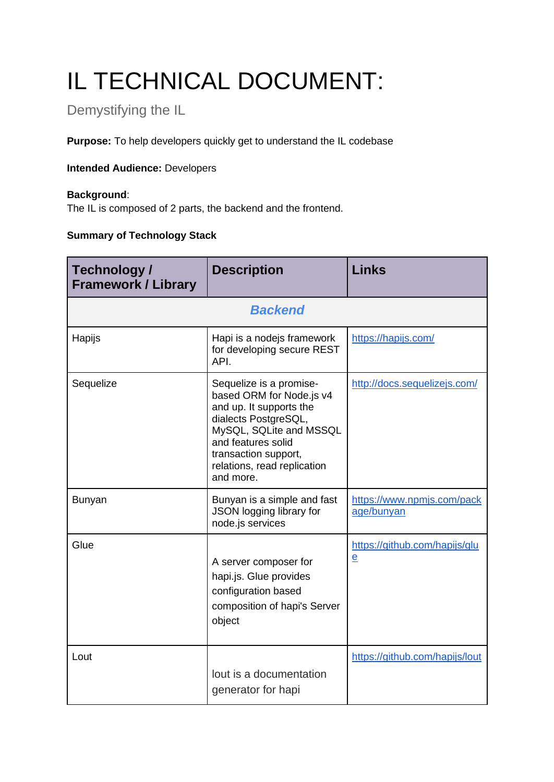# IL TECHNICAL DOCUMENT:

# Demystifying the IL

**Purpose:** To help developers quickly get to understand the IL codebase

#### **Intended Audience:** Developers

#### **Background**:

The IL is composed of 2 parts, the backend and the frontend.

## **Summary of Technology Stack**

| Technology /<br><b>Framework / Library</b> | <b>Description</b>                                                                                                                                                                                                          | <b>Links</b>                                    |  |  |
|--------------------------------------------|-----------------------------------------------------------------------------------------------------------------------------------------------------------------------------------------------------------------------------|-------------------------------------------------|--|--|
| <b>Backend</b>                             |                                                                                                                                                                                                                             |                                                 |  |  |
| Hapijs                                     | Hapi is a nodejs framework<br>for developing secure REST<br>API.                                                                                                                                                            | https://hapijs.com/                             |  |  |
| Sequelize                                  | Sequelize is a promise-<br>based ORM for Node.js v4<br>and up. It supports the<br>dialects PostgreSQL,<br>MySQL, SQLite and MSSQL<br>and features solid<br>transaction support,<br>relations, read replication<br>and more. | http://docs.sequelizejs.com/                    |  |  |
| <b>Bunyan</b>                              | Bunyan is a simple and fast<br>JSON logging library for<br>node.js services                                                                                                                                                 | https://www.npmjs.com/pack<br>age/bunyan        |  |  |
| Glue                                       | A server composer for<br>hapi.js. Glue provides<br>configuration based<br>composition of hapi's Server<br>object                                                                                                            | https://github.com/hapijs/glu<br>$\overline{e}$ |  |  |
| Lout                                       | lout is a documentation<br>generator for hapi                                                                                                                                                                               | https://github.com/hapijs/lout                  |  |  |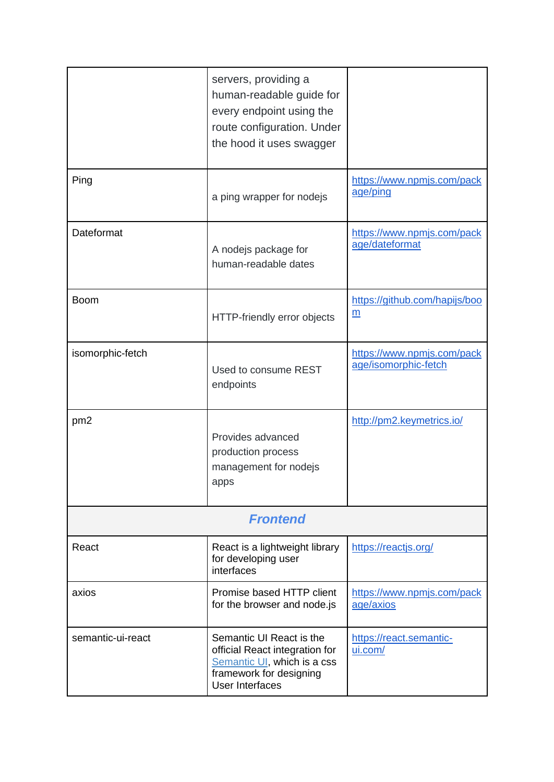|                   | servers, providing a<br>human-readable guide for<br>every endpoint using the<br>route configuration. Under<br>the hood it uses swagger  |                                                    |  |  |
|-------------------|-----------------------------------------------------------------------------------------------------------------------------------------|----------------------------------------------------|--|--|
| Ping              | a ping wrapper for nodejs                                                                                                               | https://www.npmjs.com/pack<br>age/ping             |  |  |
| Dateformat        | A nodejs package for<br>human-readable dates                                                                                            | https://www.npmjs.com/pack<br>age/dateformat       |  |  |
| <b>Boom</b>       | HTTP-friendly error objects                                                                                                             | https://github.com/hapijs/boo<br>$\underline{m}$   |  |  |
| isomorphic-fetch  | Used to consume REST<br>endpoints                                                                                                       | https://www.npmjs.com/pack<br>age/isomorphic-fetch |  |  |
| pm <sub>2</sub>   | Provides advanced<br>production process<br>management for nodejs<br>apps                                                                | http://pm2.keymetrics.io/                          |  |  |
| <b>Frontend</b>   |                                                                                                                                         |                                                    |  |  |
| React             | React is a lightweight library<br>for developing user<br>interfaces                                                                     | https://reactjs.org/                               |  |  |
| axios             | Promise based HTTP client<br>for the browser and node.js                                                                                | https://www.npmjs.com/pack<br>age/axios            |  |  |
| semantic-ui-react | Semantic UI React is the<br>official React integration for<br>Semantic UI, which is a css<br>framework for designing<br>User Interfaces | https://react.semantic-<br>ui.com/                 |  |  |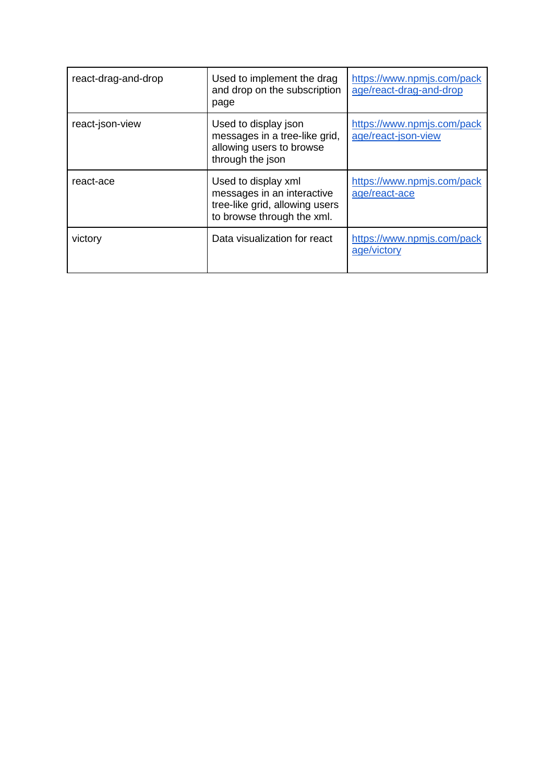| react-drag-and-drop | Used to implement the drag<br>and drop on the subscription<br>page                                                | https://www.npmjs.com/pack<br>age/react-drag-and-drop |
|---------------------|-------------------------------------------------------------------------------------------------------------------|-------------------------------------------------------|
| react-json-view     | Used to display json<br>messages in a tree-like grid,<br>allowing users to browse<br>through the json             | https://www.npmjs.com/pack<br>age/react-json-view     |
| react-ace           | Used to display xml<br>messages in an interactive<br>tree-like grid, allowing users<br>to browse through the xml. | https://www.npmjs.com/pack<br>age/react-ace           |
| victory             | Data visualization for react                                                                                      | https://www.npmjs.com/pack<br>age/victory             |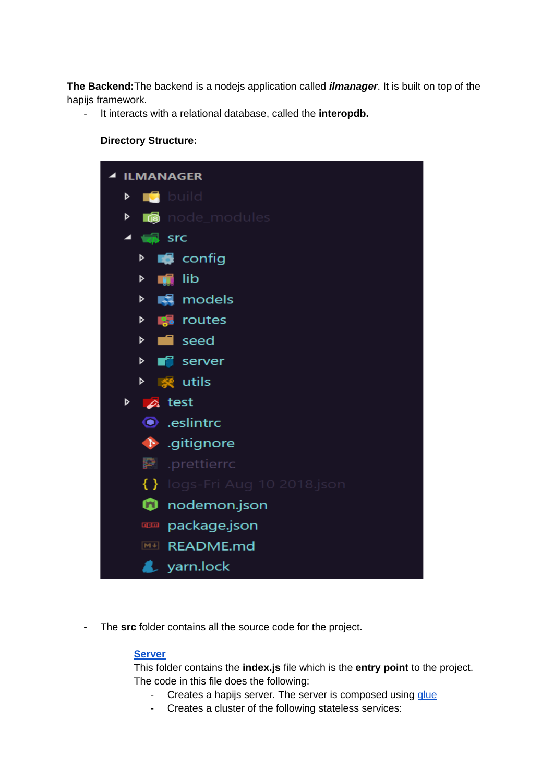**The Backend:**The backend is a nodejs application called *ilmanager*. It is built on top of the hapijs framework.

- It interacts with a relational database, called the **interopdb.** 

#### **Directory Structure:**



- The **src** folder contains all the source code for the project.

#### **[Server](https://github.com/palladiumkenya/Interoperability-Layer/tree/dad/src/server)**

This folder contains the **index.js** file which is the **entry point** to the project. The code in this file does the following:

- Creates a hapijs server. The server is composed using [glue](https://github.com/hapijs/glue)
- Creates a cluster of the following stateless services: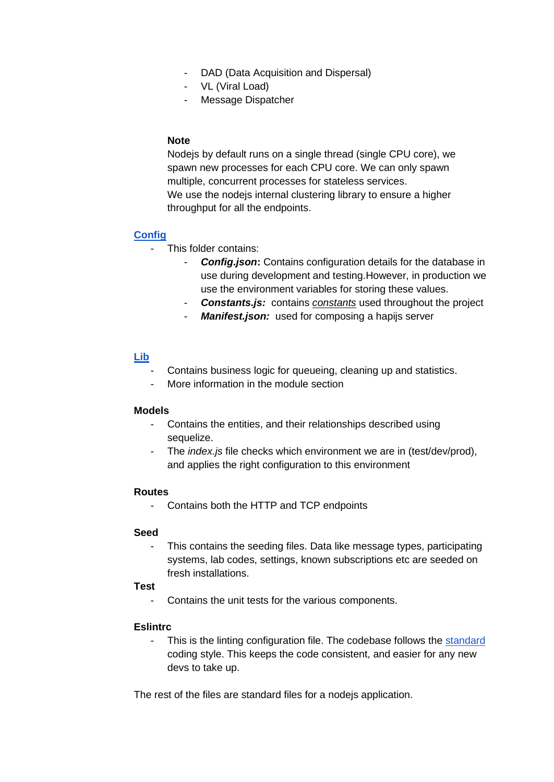- DAD (Data Acquisition and Dispersal)
- VL (Viral Load)
- Message Dispatcher

#### **Note**

Nodejs by default runs on a single thread (single CPU core), we spawn new processes for each CPU core. We can only spawn multiple, concurrent processes for stateless services. We use the nodejs internal clustering library to ensure a higher throughput for all the endpoints.

#### **[Config](https://github.com/palladiumkenya/Interoperability-Layer/tree/dad/src/config)**

- This folder contains:
	- **Config.json:** Contains configuration details for the database in use during development and testing.However, in production we use the environment variables for storing these values.
	- **Constants.js:** contains *constants* used throughout the project
	- *Manifest.json:* used for composing a hapijs server

#### **[Lib](https://github.com/palladiumkenya/Interoperability-Layer/tree/dad/src/lib)**

- Contains business logic for queueing, cleaning up and statistics.
- More information in the module section

#### **Models**

- Contains the entities, and their relationships described using sequelize.
- The *index.js* file checks which environment we are in (test/dev/prod), and applies the right configuration to this environment

#### **Routes**

- Contains both the HTTP and TCP endpoints

#### **Seed**

This contains the seeding files. Data like message types, participating systems, lab codes, settings, known subscriptions etc are seeded on fresh installations.

#### **Test**

- Contains the unit tests for the various components.

#### **Eslintrc**

This is the linting configuration file. The codebase follows the [standard](https://standardjs.com/) coding style. This keeps the code consistent, and easier for any new devs to take up.

The rest of the files are standard files for a nodejs application.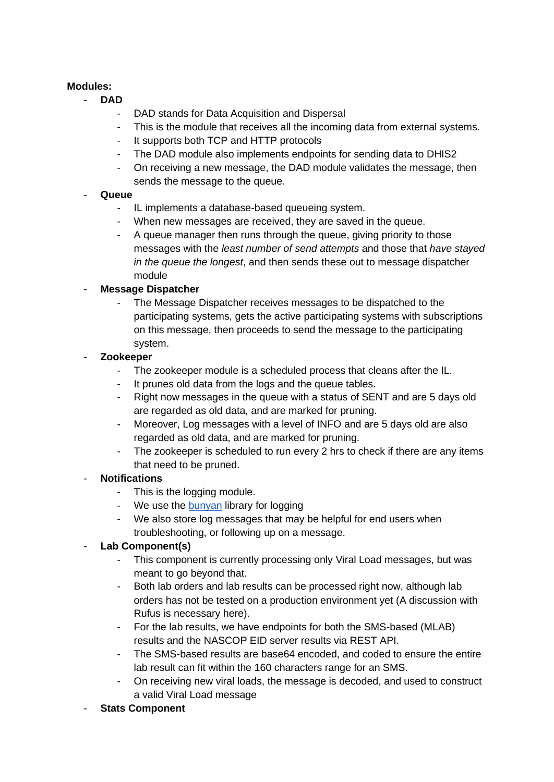#### **Modules:**

- **DAD**
	- DAD stands for Data Acquisition and Dispersal
	- This is the module that receives all the incoming data from external systems.
	- It supports both TCP and HTTP protocols
	- The DAD module also implements endpoints for sending data to DHIS2
	- On receiving a new message, the DAD module validates the message, then sends the message to the queue.

#### - **Queue**

- IL implements a database-based queueing system.
- When new messages are received, they are saved in the queue.
- A queue manager then runs through the queue, giving priority to those messages with the *least number of send attempts* and those that *have stayed in the queue the longest*, and then sends these out to message dispatcher module

#### - **Message Dispatcher**

The Message Dispatcher receives messages to be dispatched to the participating systems, gets the active participating systems with subscriptions on this message, then proceeds to send the message to the participating system.

#### - **Zookeeper**

- The zookeeper module is a scheduled process that cleans after the IL.
- It prunes old data from the logs and the queue tables.
- Right now messages in the queue with a status of SENT and are 5 days old are regarded as old data, and are marked for pruning.
- Moreover, Log messages with a level of INFO and are 5 days old are also regarded as old data, and are marked for pruning.
- The zookeeper is scheduled to run every 2 hrs to check if there are any items that need to be pruned.

#### - **Notifications**

- This is the logging module.
- We use the [bunyan](https://www.npmjs.com/package/bunyan) library for logging
- We also store log messages that may be helpful for end users when troubleshooting, or following up on a message.

#### - **Lab Component(s)**

- This component is currently processing only Viral Load messages, but was meant to go beyond that.
- Both lab orders and lab results can be processed right now, although lab orders has not be tested on a production environment yet (A discussion with Rufus is necessary here).
- For the lab results, we have endpoints for both the SMS-based (MLAB) results and the NASCOP EID server results via REST API.
- The SMS-based results are base64 encoded, and coded to ensure the entire lab result can fit within the 160 characters range for an SMS.
- On receiving new viral loads, the message is decoded, and used to construct a valid Viral Load message
- **Stats Component**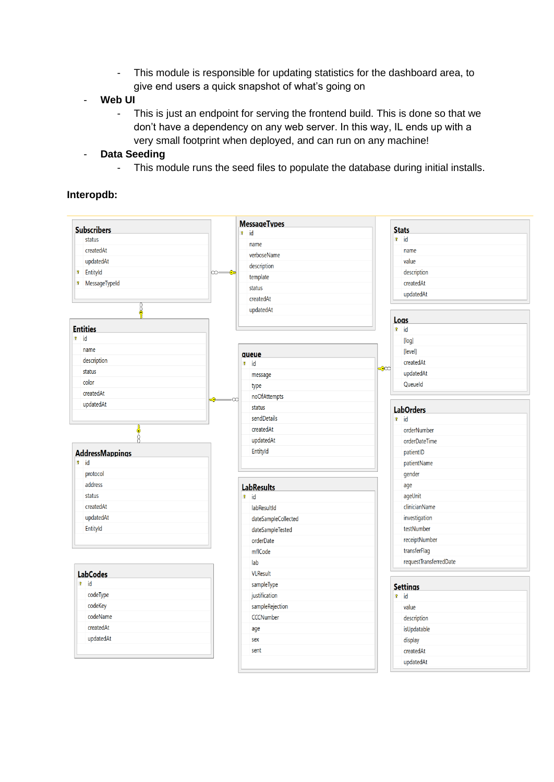- This module is responsible for updating statistics for the dashboard area, to give end users a quick snapshot of what's going on
- **Web UI**
	- This is just an endpoint for serving the frontend build. This is done so that we don't have a dependency on any web server. In this way, IL ends up with a very small footprint when deployed, and can run on any machine!
- **Data Seeding**
	- This module runs the seed files to populate the database during initial installs.

#### **Interopdb:**

| <b>Subscribers</b>            | <b>MessageTypes</b>         |                                 |
|-------------------------------|-----------------------------|---------------------------------|
| status                        | $\sqrt{2}$ id               | <b>Stats</b><br>$\sqrt{ }$ id   |
|                               | name                        |                                 |
| createdAt                     | verboseName                 | name                            |
| updatedAt                     | description                 | value                           |
| EntityId<br>Ŷ.                | ∞——⊶<br>template            | description                     |
| MessageTypeId<br>$\mathbf{P}$ | status                      | createdAt                       |
|                               | createdAt                   | updatedAt                       |
| 8                             | updatedAt                   |                                 |
|                               |                             | Logs                            |
| <b>Entities</b>               |                             | $\sqrt{8}$ id                   |
| $\mathbf{r}$ id               |                             | [log]                           |
| name                          | queue                       | [level]                         |
| description                   | $\theta$ id                 | createdAt                       |
| status                        | message                     | ≂೦೦<br>updatedAt                |
| color                         | type                        | Queueld                         |
| createdAt                     | noOfAttempts                |                                 |
| updatedAt                     | <del>€</del><br>œ<br>status |                                 |
|                               | sendDetails                 | <b>LabOrders</b><br>$\theta$ id |
|                               | createdAt                   |                                 |
| 0                             |                             | orderNumber                     |
|                               | updatedAt                   | orderDateTime                   |
| <b>AddressMappings</b>        | EntityId                    | patientID                       |
| $\mathbf{r}$ id               |                             | patientName                     |
| protocol                      |                             | gender                          |
| address                       | <b>LabResults</b>           | age                             |
| status                        | $\mathbf{R}$ id             | ageUnit                         |
| createdAt                     | labResultId                 | clinicianName                   |
| updatedAt                     | dateSampleCollected         | investigation                   |
| EntityId                      | dateSampleTested            | testNumber                      |
|                               | orderDate                   | receiptNumber                   |
|                               | mflCode                     | transferFlag                    |
|                               | lab                         | requestTransferredDate          |
| <b>LabCodes</b>               | <b>VLResult</b>             |                                 |
| ? id                          | sampleType                  | <b>Settings</b>                 |
| codeType                      | justification               | $\sqrt{8}$ id                   |
| codeKey                       | sampleRejection             | value                           |
| codeName                      | <b>CCCNumber</b>            | description                     |
| createdAt                     | age                         | isUpdatable                     |
| updatedAt                     | sex                         | display                         |
|                               | sent                        |                                 |
|                               |                             | createdAt                       |
|                               |                             | updatedAt                       |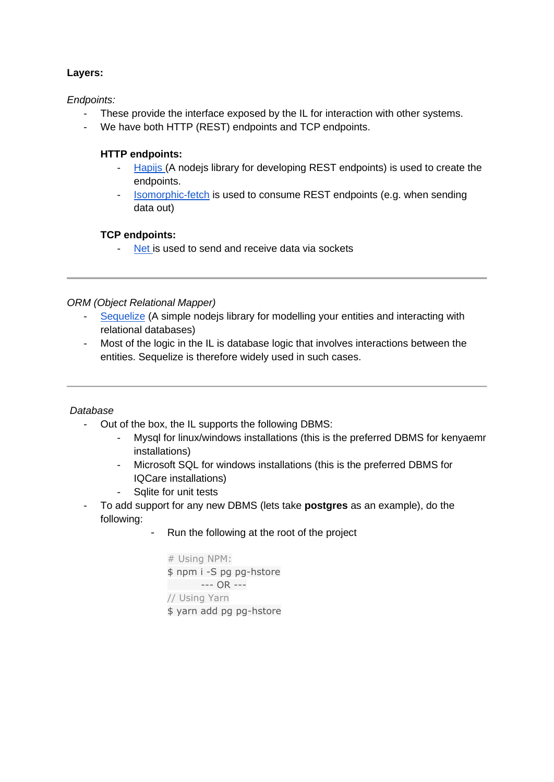#### **Layers:**

*Endpoints:*

- These provide the interface exposed by the IL for interaction with other systems.
- We have both HTTP (REST) endpoints and TCP endpoints.

#### **HTTP endpoints:**

- [Hapijs \(](https://hapijs.com/)A nodejs library for developing REST endpoints) is used to create the endpoints.
- [Isomorphic-fetch](https://www.npmjs.com/package/isomorphic-fetch) is used to consume REST endpoints (e.g. when sending data out)

### **TCP endpoints:**

[Net i](https://nodejs.org/api/net.html)s used to send and receive data via sockets

#### *ORM (Object Relational Mapper)*

- [Sequelize](http://docs.sequelizejs.com/) (A simple nodejs library for modelling your entities and interacting with relational databases)
- Most of the logic in the IL is database logic that involves interactions between the entities. Sequelize is therefore widely used in such cases.

#### *Database*

- Out of the box, the IL supports the following DBMS:
	- Mysql for linux/windows installations (this is the preferred DBMS for kenyaemr installations)
	- Microsoft SQL for windows installations (this is the preferred DBMS for IQCare installations)
	- Sqlite for unit tests
- To add support for any new DBMS (lets take **postgres** as an example), do the following:
	- Run the following at the root of the project

```
# Using NPM:
$ npm i -S pg pg-hstore
     --- OR ---
// Using Yarn
$ yarn add pg pg-hstore
```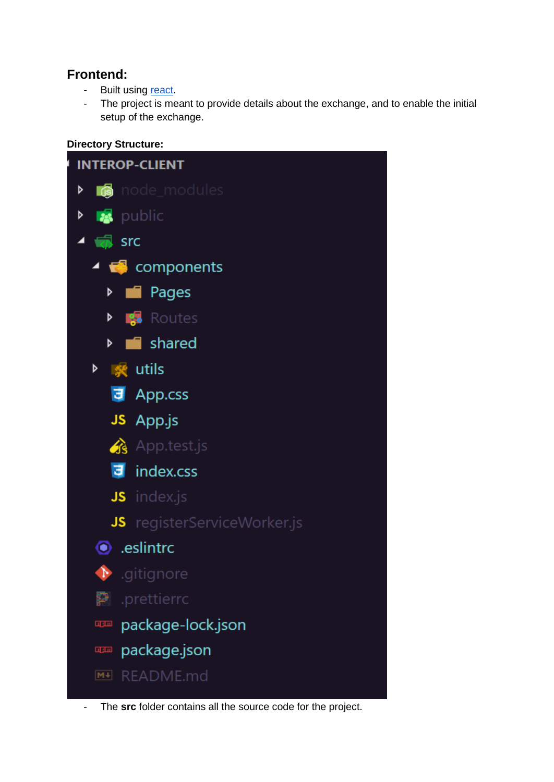# **Frontend:**

- Built using [react.](https://reactjs.org/)
- The project is meant to provide details about the exchange, and to enable the initial setup of the exchange.

#### **Directory Structure:**



- The **src** folder contains all the source code for the project.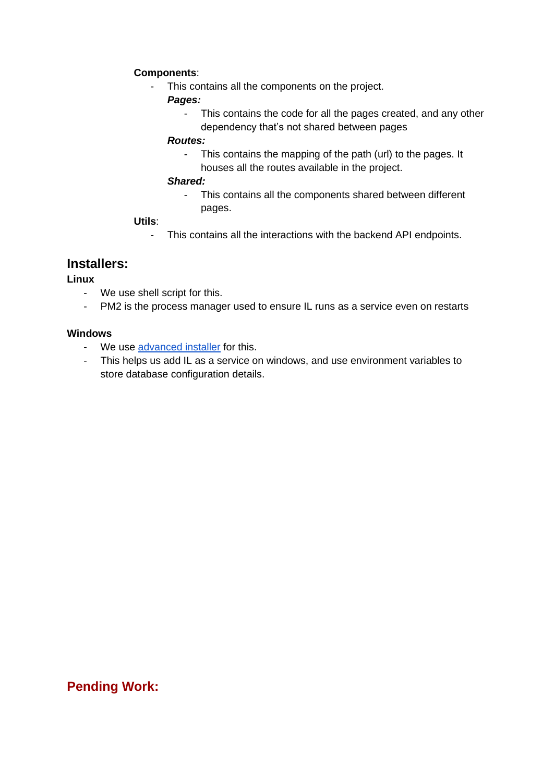#### **Components**:

- This contains all the components on the project.

#### *Pages:*

This contains the code for all the pages created, and any other dependency that's not shared between pages

#### *Routes:*

- This contains the mapping of the path (url) to the pages. It houses all the routes available in the project.

#### *Shared:*

- This contains all the components shared between different pages.

#### **Utils**:

- This contains all the interactions with the backend API endpoints.

# **Installers:**

#### **Linux**

- We use shell script for this.
- PM2 is the process manager used to ensure IL runs as a service even on restarts

#### **Windows**

- We use [advanced installer](https://www.advancedinstaller.com/) for this.
- This helps us add IL as a service on windows, and use environment variables to store database configuration details.

# **Pending Work:**